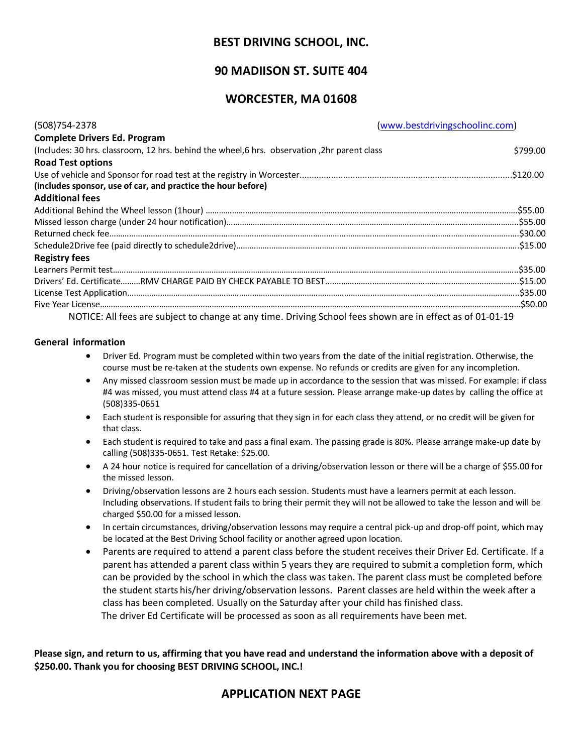# **BEST DRIVING SCHOOL, INC.**

# **90 MADIISON ST. SUITE 404**

### **WORCESTER, MA 01608**

| (508) 754-2378                                                                                             | (www.bestdrivingschoolinc.com) |
|------------------------------------------------------------------------------------------------------------|--------------------------------|
| <b>Complete Drivers Ed. Program</b>                                                                        |                                |
| (Includes: 30 hrs. classroom, 12 hrs. behind the wheel, 6 hrs. observation, 2hr parent class               | \$799.00                       |
| <b>Road Test options</b>                                                                                   |                                |
|                                                                                                            |                                |
| (includes sponsor, use of car, and practice the hour before)                                               |                                |
| <b>Additional fees</b>                                                                                     |                                |
|                                                                                                            |                                |
|                                                                                                            |                                |
|                                                                                                            |                                |
|                                                                                                            |                                |
| <b>Registry fees</b>                                                                                       |                                |
|                                                                                                            |                                |
|                                                                                                            |                                |
|                                                                                                            |                                |
|                                                                                                            |                                |
| NOTICE: All fees are subject to change at any time. Driving School fees shown are in effect as of 01-01-19 |                                |

#### **General information**

- Driver Ed. Program must be completed within two years from the date of the initial registration. Otherwise, the course must be re-taken at the students own expense. No refunds or credits are given for any incompletion.
- Any missed classroom session must be made up in accordance to the session that was missed. For example: if class #4 was missed, you must attend class #4 at a future session. Please arrange make-up dates by calling the office at (508)335-0651
- Each student is responsible for assuring that they sign in for each class they attend, or no credit will be given for that class.
- Each student is required to take and pass a final exam. The passing grade is 80%. Please arrange make-up date by calling (508)335-0651. Test Retake: \$25.00.
- A 24 hour notice is required for cancellation of a driving/observation lesson or there will be a charge of \$55.00 for the missed lesson.
- Driving/observation lessons are 2 hours each session. Students must have a learners permit at each lesson. Including observations. If student fails to bring their permit they will not be allowed to take the lesson and will be charged \$50.00 for a missed lesson.
- In certain circumstances, driving/observation lessons may require a central pick-up and drop-off point, which may be located at the Best Driving School facility or another agreed upon location.
- Parents are required to attend a parent class before the student receives their Driver Ed. Certificate. If a parent has attended a parent class within 5 years they are required to submit a completion form, which can be provided by the school in which the class was taken. The parent class must be completed before the student starts his/her driving/observation lessons. Parent classes are held within the week after a class has been completed. Usually on the Saturday after your child has finished class. The driver Ed Certificate will be processed as soon as all requirements have been met.

**Please sign, and return to us, affirming that you have read and understand the information above with a deposit of \$250.00. Thank you for choosing BEST DRIVING SCHOOL, INC.!**

# **APPLICATION NEXT PAGE**